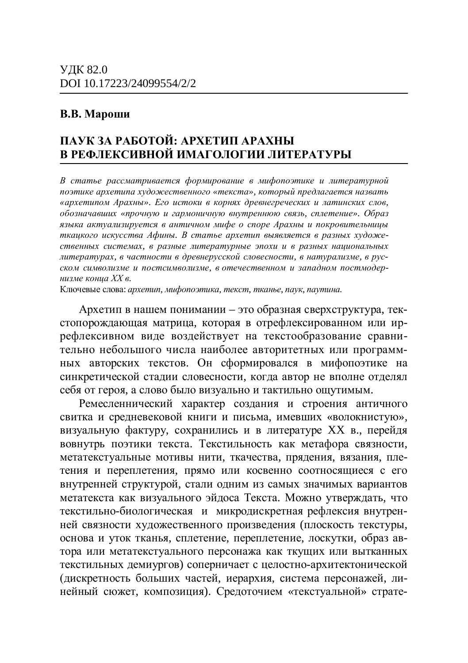## **В.В. Мароши**

# **ɉȺɍɄɁȺɊȺȻɈɌɈɃ: ȺɊɏȿɌɂɉȺɊȺɏɇɕ В РЕФЛЕКСИВНОЙ ИМАГОЛОГИИ ЛИТЕРАТУРЫ**

В статье рассматривается формирование в мифопоэтике и литературной поэтике архетипа художественного «текста», который предлагается назвать «архетипом Арахны». Его истоки в корнях древнегреческих и латинских слов,  $o\acute{o}$ означавших «прочную и гармоничную внутреннюю связь, сплетение». Образ языка актуализируется в античном мифе о споре Арахны и покровительницы ткацкого искусства Афины. В статье архетип выявляется в разных художественных системах, в разные литературные эпохи и в разных национальных дитературах, в частности в древнерусской словесности, в натурализме, в русском символизме и постсимволизме, в отечественном и западном постмодер- $\mu$ изме кониа XX в.

Ключевые слова: архетип, мифопоэтика, текст, тканье, паук, паутина.

Архетип в нашем понимании – это образная сверхструктура, текстопорождающая матрица, которая в отрефлексированном или иррефлексивном виде воздействует на текстообразование сравниълно небольшого числа наиболее авторитетных или программных авторских текстов. Он сформировался в мифопоэтике на синкретической стадии словесности, когда автор не вполне отделял себя от героя, а слово было визуально и тактильно ощутимым.

Ремесленнический характер создания и строения античного свитка и средневековой книги и письма, имевших «волокнистую», визуальную фактуру, сохранились и в литературе XX в., перейдя вовнутрь поэтики текста. Текстильность как метафора связности, метатекстуальные мотивы нити, ткачества, прядения, вязания, плетения и переплетения, прямо или косвенно соотносящиеся с его внутренней структурой, стали одним из самых значимых вариантов метатекста как визуального эйдоса Текста. Можно утверждать, что текстильно-биологическая и микродискретная рефлексия внутренней связности художественного произведения (плоскость текстуры, основа и уток тканья, сплетение, переплетение, лоскутки, образ автора или метатекстуального персонажа как ткущих или вытканных текстильных демиургов) соперничает с целостно-архитектонической (дискретность больших частей, иерархия, система персонажей, линейный сюжет, композиция). Средоточием «текстуальной» страте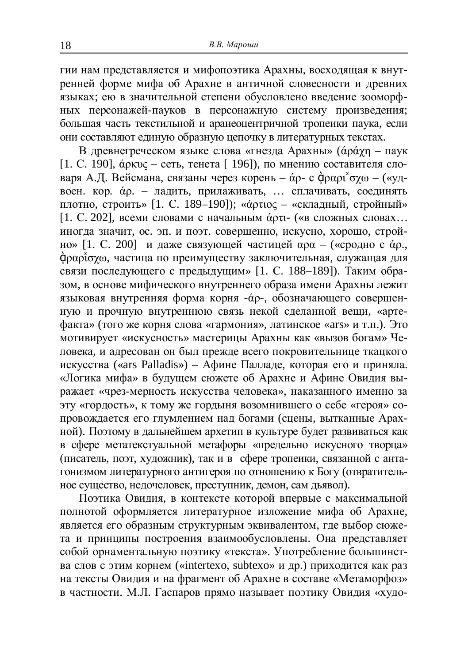гии нам представляется и мифопоэтика Арахны, восходящая к внутренней форме мифа об Арахне в античной словесности и древних ъ.<br>языках: ею в значительной степени обусловлено ввеление зооморфных персонажей-пауков в персонажную систему произведения; большая часть текстильной и аранеоцентричной тропеики паука, если они составляют единую образную цепочку в литературных текстах.

В древнегреческом языке слова «гнезда Арахны» ( $\acute{\alpha}$ р $\acute{\alpha}$ уп – паук [1. С. 190],  $\acute{\alpha}$ ркυς – сеть, тенета [ 196]), по мнению составителя словаря А.Д. Вейсмана, связаны через корень – а́р- с драрь о́у $\omega$  – («удвоен. кор.  $\alpha$ р. – ладить, прилаживать, ... сплачивать, соединять плотно, строить» [1. С. 189–190]); «а́отос – «складный, стройный»  $[1. C. 202]$ , всеми словами с начальным фоть- («в сложных словах... иногда значит, ос. эп. и поэт. совершенно, искусно, хорошо, стройно» [1. С. 200] и даже связующей частицей  $\alpha$ р $\alpha$  – («сродно с  $\alpha$ р., фραρἶσγω, частица по преимуществу заключительная, служащая для связи последующего с предыдущим» [1. С. 188–189]). Таким образом, в основе мифического внутреннего образа имени Арахны лежит языковая внутренняя форма корня - άρ-, обозначающего совершенную и прочную внутреннюю связь некой сделанной вещи, «артефакта» (того же корня слова «гармония», латинское «ars» и т.п.). Это мотивирует «искусность» мастерицы Арахны как «вызов богам» Человека, и адресован он был прежде всего покровительнице ткацкого искусства («ars Palladis») – Афине Палладе, которая его и приняла. «Логика мифа» в будущем сюжете об Арахне и Афине Овидия выражает «чрез-мерность искусства человека», наказанного именно за эту «гордость», к тому же гордыня возомнившего о себе «героя» сопровождается его глумлением над богами (сцены, вытканные Арахной). Поэтому в дальнейшем архетип в культуре будет развиваться как в сфере метатекстуальной метафоры «предельно искусного творца» (писатель, поэт, художник), так и в сфере тропеики, связанной с антагонизмом литературного антигероя по отношению к Богу (отвратительное существо, недочеловек, преступник, демон, сам дьявол).

Поэтика Овидия, в контексте которой впервые с максимальной полнотой оформляется литературное изложение мифа об Арахне, является его образным структурным эквивалентом, где выбор сюжета и принципы построения взаимообусловлены. Она представляет собой орнаментальную поэтику «текста». Употребление большинства слов с этим корнем («intertexo, subtexo» и др.) приходится как раз на тексты Овидия и на фрагмент об Арахне в составе «Метаморфоз» в частности. М.Л. Гаспаров прямо называет поэтику Овидия «худо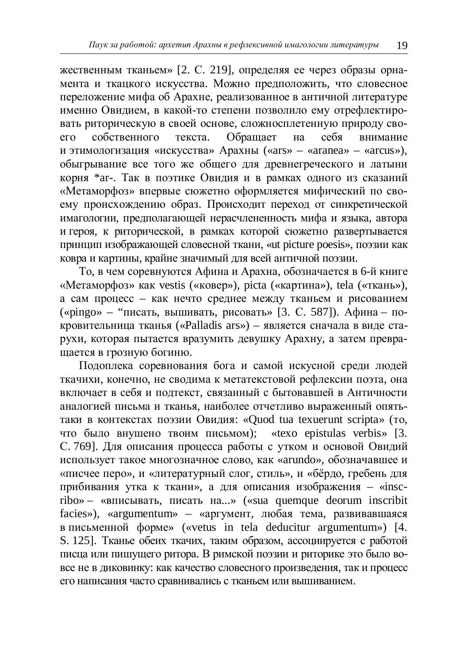жественным тканьем» [2. С. 219], определяя ее через образы орнамента и ткацкого искусства. Можно предположить, что словесное переложение мифа об Арахне, реализованное в античной литературе именно Овилием, в какой-то степени позволило ему отрефлектировать риторическую в своей основе, сложносплетенную природу своет собственного текста. Обращает на себя внимание его собственного текста. Обрашает на себя внимание и этимологизация «искусства» Арахны («ars» – «aranea» – «arcus»), обыгрывание все того же общего для древнегреческого и латыни корня \*ar-. Так в поэтике Овидия и в рамках одного из сказаний «Метаморфоз» впервые сюжетно оформляется мифический по своему происхождению образ. Происходит переход от синкретической имагологии, предполагающей нерасчлененность мифа и языка, автора и героя, к риторической, в рамках которой сюжетно развертывается принцип изображающей словесной ткани, «ut picture poesis», поэзии как •<br>ковра и картины, крайне значимый для всей античной поэзии.

То, в чем соревнуются Афина и Арахна, обозначается в 6-й книге «Метаморфоз» как vestis («ковер»), picta («картина»), tela («ткань»), а сам процесс – как нечто среднее между тканьем и рисованием («pingo» – "писать, вышивать, рисовать» [3. С. 587]). Афина – покровительница тканья («Palladis ars») – является сначала в виде старухи, которая пытается вразумить девушку Арахну, а затем превра-- .<br>шается в грозную богиню.

Полоплека соревнования бога и самой искусной среди людей ткачихи, конечно, не сводима к метатекстовой рефлексии поэта, она включает в себя и подтекст, связанный с бытовавшей в Античности аналогией письма и тканья, наиболее отчетливо выраженный опятьтаки в контекстах поэзии Овидия: «Quod tua texuerunt scripta» (то, что было внушено твоим письмом); «texo epistulas verbis» [3. С. 769]. Для описания процесса работы с утком и основой Овидий использует такое многозначное слово, как «arundo», обозначавшее и «писчее перо», и «литературный слог, стиль», и «бёрдо, гребень для прибивания утка к ткани», а для описания изображения – «inscribo» – «вписывать, писать на...» («sua quemque deorum inscribit facies»), «argumentum» – «аргумент, любая тема, развивавшаяся в письменной форме» («vetus in tela deducitur argumentum») [4. S. 125]. Тканье обеих ткачих, таким образом, ассоциируется с работой писца или пишущего ритора. В римской поэзии и риторике это было вовсе не в диковинку: как качество словесного произведения, так и процесс его написания часто сравнивались с тканьем или вышиванием.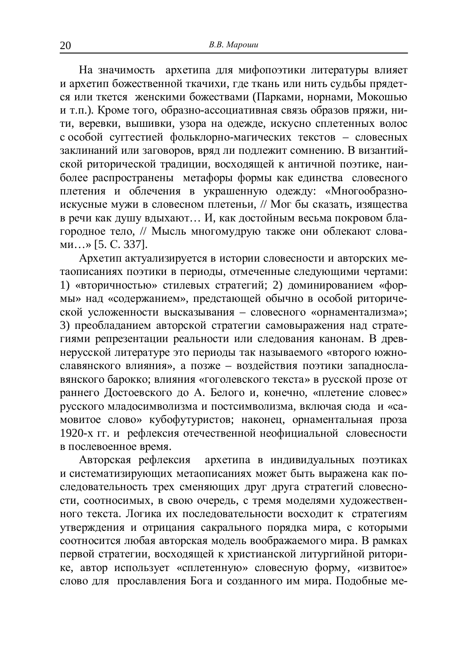На значимость архетипа для мифопоэтики литературы влияет и апхетип божественной ткачихи, где ткань или нить судьбы прядется или ткется женскими божествами (Парками, норнами, Мокошью и т.п.). Кроме того, образно-ассоциативная связь образов пряжи, нити, веревки, вышивки, узора на одежде, искусно сплетенных волос с особой суггестией фольклорно-магических текстов – словесных заклинаний или заговоров, вряд ли подлежит сомнению. В византийской риторической традиции, восходящей к античной поэтике, наиболее распространены метафоры формы как единства словесного плетения и облечения в украшенную одежду: «Многообразноискусные мужи в словесном плетеньи, // Мог бы сказать, изящества в речи как душу вдыхают... И, как достойным весьма покровом блатородное тело. // Мысль многомулрую также они облекают слова- $\mu$ <sub>MH</sub>...» [5. C. 337].

Архетип актуализируется в истории словесности и авторских метаописаниях поэтики в периоды, отмеченные следующими чертами: 1) «вторичностью» стилевых стратегий; 2) доминированием «формы» над «содержанием», предстающей обычно в особой риторической усложенности высказывания – словесного «орнаментализма»; 3) преобладанием авторской стратегии самовыражения над стратегиями репрезентации реальности или следования канонам. В древнерусской литературе это периоды так называемого «второго южнославянского влияния», а позже - воздействия поэтики западнославянского барокко: влияния «гоголевского текста» в русской прозе от раннего Достоевского до А. Белого и, конечно, «плетение словес» •<br>русского младосимволизма и постсимволизма, включая сюда и «са-•••<br>мовитое слово» кубофутуристов; наконец, орнаментальная проза 1920-х гг. и рефлексия отечественной неофициальной словесности в послевоенное время.<br>Авторская рефлексия

архетипа в индивидуальных поэтиках и систематизирующих метаописаниях может быть выражена как последовательность трех сменяющих друг друга стратегий словесности, соотносимых, в свою очередь, с тремя моделями художественного текста. Логика их последовательности восходит к стратегиям утверждения и отрицания сакрального порядка мира, с которыми • соотносится любая авторская модель воображаемого мира. В рамках первой стратегии, восходящей к христианской литургийной риторике, автор использует «сплетенную» словесную форму, «извитое» слово для прославления Бога и созданного им мира. Подобные ме-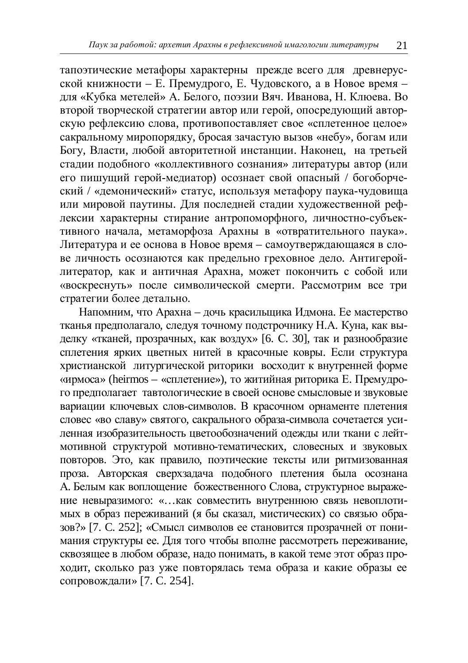тапоэтические метафоры характерны прежде всего для древнерусской книжности – Е. Премулрого, Е. Чуловского, а в Новое время – для «Кубка метелей» А. Белого, поэзии Вяч. Иванова, Н. Клюева. Во второй творческой стратегии автор или герой, опосредующий авторскую рефлексию слова, противопоставляет свое «сплетенное целое» сакральному миропорядку, бросая зачастую вызов «небу», богам или Богу, Власти, любой авторитетной инстанции. Наконец, на третьей стадии подобного «коллективного сознания» литературы автор (или его пишущий герой-медиатор) осознает свой опасный / богоборческий / «демонический» статус, используя метафору паука-чудовища или мировой паутины. Для последней стадии художественной рефлексии характерны стирание антропоморфного, личностно-субъективного начала, метаморфоза Арахны в «отвратительного паука». Литература и ее основа в Новое время – самоутверждающаяся в слове личность осознаются как предельно греховное дело. Антигеройлитератор, как и античная Арахна, может покончить с собой или «воскреснуть» после символической смерти. Рассмотрим все три стратегии более детально.

Напомним, что Арахна – дочь красильщика Идмона. Ее мастерство тканья предполагало, следуя точному подстрочнику Н.А. Куна, как выделку «тканей, прозрачных, как воздух» [6. С. 30], так и разнообразие сплетения ярких цветных нитей в красочные ковры. Если структура христианской литургической риторики восхолит к внутренней форме  $\frac{1}{4}$  «ирмоса» (heirmos – «сплетение»), то житийная риторика Е. Премудрото предполагает тавтологические в своей основе смысловые и звуковые вариации ключевых слов-символов. В красочном орнаменте плетения словес «во славу» святого, сакрального образа-символа сочетается усиленная изобразительность цветообозначений одежды или ткани с лейтмотивной структурой мотивно-тематических, словесных и звуковых повторов. Это, как правило, поэтические тексты или ритмизованная проза. Авторская сверхзадача подобного плетения была осознана A. Белым как воплошение божественного Слова, структурное выражение невыразимого: «...как совместить внутреннюю связь невоплотимых в образ переживаний (я бы сказал, мистических) со связью образов?» [7. С. 252]; «Смысл символов ее становится прозрачней от понимания структуры ее. Для того чтобы вполне рассмотреть переживание, сквозящее в любом образе, надо понимать, в какой теме этот образ проходит, сколько раз уже повторялась тема образа и какие образы ее сопровождали» [7. С. 254].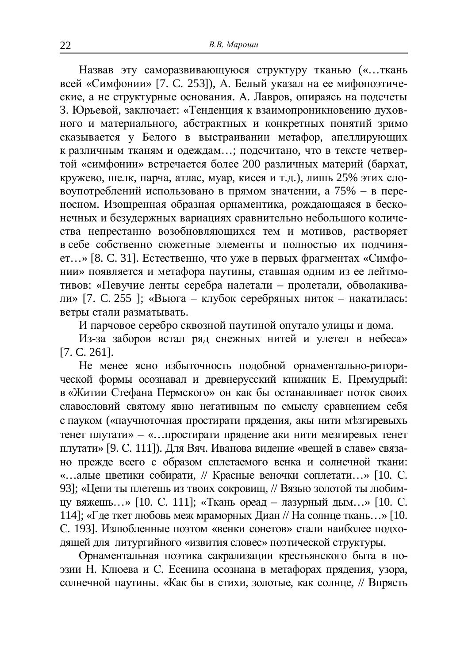Назвав эту саморазвивающуюся структуру тканью («...ткань всей «Симфонии» [7. C. 253]),  $\overline{A}$ . Белый указал на ее мифопоэтические, а не структурные основания. А. Лавров, опираясь на подсчеты З. Юрьевой, заключает: «Тенленция к взаимопроникновению духовного и материального, абстрактных и конкретных понятий зримо сказывается у Белого в выстраивании метафор, апеллирующих к различным тканям и одеждам...; подсчитано, что в тексте четвертой «симфонии» встречается более 200 различных материй (бархат, кружево, шелк, парча, атлас, муар, кисея и т.д.), лишь 25% этих словоупотреблений использовано в прямом значении, а  $75% - B$  переносном. Изощренная образная орнаментика, рождающаяся в бесконечных и безудержных вариациях сравнительно небольшого количества непрестанно возобновляющихся тем и мотивов, растворяет в себе собственно сюжетные элементы и полностью их полчиняет...» [8. С. 31]. Естественно, что уже в первых фрагментах «Симфонии» появляется и метафора паутины, ставшая одним из ее лейтмотивов: «Певучие ленты серебра налетали – пролетали, обволакивали» [7. С. 255 ]; «Вьюга – клубок серебряных ниток – накатилась: ветры стали разматывать.

И парчовое серебро сквозной паутиной опутало улицы и дома.

Из-за заборов встал ряд снежных нитей и улетел в небеса» [7. C. 261].

Не менее ясно избыточность полобной орнаментально-риторической формы осознавал и лревнерусский книжник Е. Премулрый: в «Житии Стефана Пермского» он как бы останавливает поток своих славословий святому явно негативным по смыслу сравнением себя с пауком («паучноточная простирати прядения, акы нити мезгиревыхъ тенет плутати» – «…простирати прядение аки нити мезгиревых тенет плутати» [9. С. 111]). Для Вяч. Иванова видение «вещей в славе» связано прежде всего с образом сплетаемого венка и солнечной ткани: «…алые цветики собирати. // Красные веночки соплетати...» [10. С. 93]; «Цепи ты плетешь из твоих сокровищ, // Вязью золотой ты любимцу вяжешь...» [10. С. 111]; «Ткань ореад – лазурный дым...» [10. С. 114]; «Где ткет любовь меж мраморных Диан // На солнце ткань...» [10. С. 193]. Излюбленные поэтом «венки сонетов» стали наиболее подходящей для литургийного «извития словес» поэтической структуры.

Орнаментальная поэтика сакрализации крестьянского быта в поэзии Н. Клюева и С. Есенина осознана в метафорах прядения, узора, солнечной паутины. «Как бы в стихи, золотые, как солнце, // Впрясть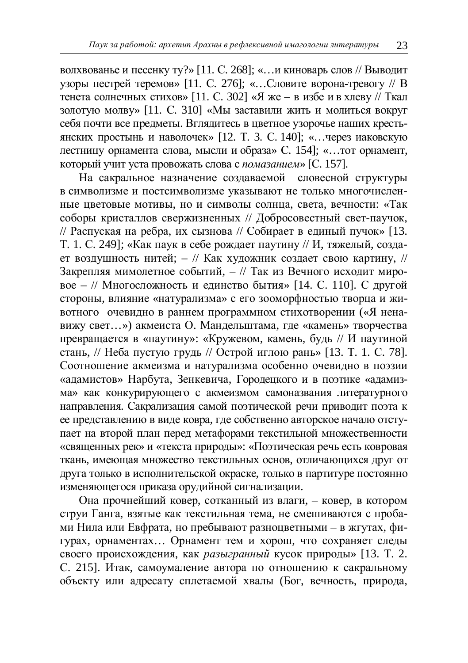волхвованье и песенку ту?» [11. С. 268]; «...и киноварь слов // Выводит vзоры пестрей теремов» [11. С. 276]; «...Словите ворона-тревогу // В тенета солнечных стихов» [11. С. 302] «Я же – в избе и в хлеву // Ткал золотую молву» [11. С. 310] «Мы заставили жить и молиться вокруг себя почти все предметы. Вглядитесь в цветное узорочье наших крестьянских простынь и наволочек» [12. Т. 3. С. 140]; «...через иаковскую лестницу орнамента слова, мысли и образа» С. 154]; «…тот орнамент, который учит уста провожать слова с помазанием» [С. 157].

На сакральное назначение создаваемой словесной структуры в символизме и постсимволизме указывают не только многочисленные цветовые мотивы, но и символы солнца, света, вечности: «Так соборы кристаллов свержизненных // Добросовестный свет-паучок, // Распуская на ребра, их сызнова // Собирает в единый пучок» [13. Т. 1. С. 249]; «Как паук в себе рождает паутину // И, тяжелый, создает воздушность нитей; – // Как художник создает свою картину, // Закрепляя мимолетное событий, – // Так из Вечного исходит мировое – // Многосложность и единство бытия» [14. С. 110]. С другой стороны, влияние «натурализма» с его зооморфностью творца и животного очевидно в раннем программном стихотворении («Я ненавижу свет…») акмеиста О. Мандельштама, где «камень» творчества превращается в «паутину»: «Кружевом, камень, будь // И паутиной стань, // Неба пустую грудь // Острой иглою рань» [13. Т. 1. С. 78]. Соотношение акмеизма и натурализма особенно очевилно в поэзии «адамистов» Нарбута, Зенкевича, Городецкого и в поэтике «адамизма» как конкурирующего с акмеизмом самоназвания литературного направления. Сакрализация самой поэтической речи приводит поэта к е представлению в виде ковра, где собственно авторское начало отступает на второй план перед метафорами текстильной множественности «священных рек» и «текста природы»: «Поэтическая речь есть ковровая ткань, имеющая множество текстильных основ, отличающихся друг от друга только в исполнительской окраске, только в партитуре постоянно изменяющегося приказа орулийной сигнализации.

Она прочнейший ковер, сотканный из влаги, - ковер, в котором струи Ганга, взятые как текстильная тема, не смешиваются с пробами Нила или Евфрата, но пребывают разноцветными – в жгутах, фигурах, орнаментах... Орнамент тем и хорош, что сохраняет следы **своего происхождения, как разыгранный кусок природы»** [13. Т. 2. С. 215]. Итак, самоумаление автора по отношению к сакральному объекту или адресату сплетаемой хвалы (Бог, вечность, природа,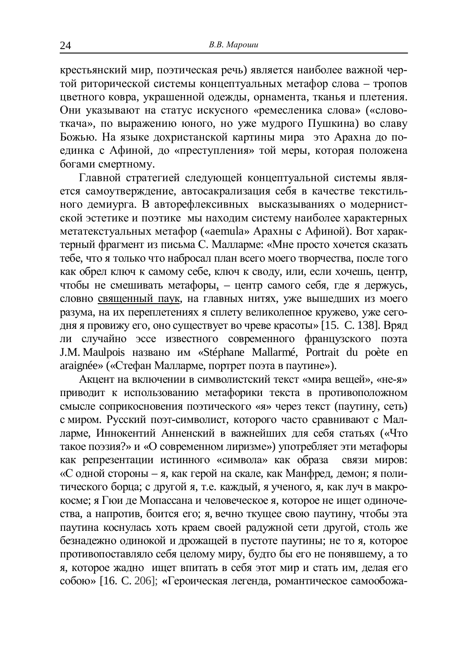крестьянский мир, поэтическая речь) является наиболее важной черъекания и советания и советания и той риторической системы концептуальных метафор слова – тропов нветного ковра, украшенной одежды, орнамента, тканья и плетения. Они указывают на статус искусного «ремесленика слова» («словоткача», по выражению юного, но уже мудрого Пушкина) во славу Божью. На языке дохристанской картины мира это Арахна до поединка с Афиной, до «преступления» той меры, которая положена богами смертному.

Главной стратегией следующей концептуальной системы является самоутверждение, автосакрализация себя в качестве текстильного демиурга. В авторефлексивных высказываниях о модернистской эстетике и поэтике мы находим систему наиболее характерных метатекстуальных метафор («aemula» Арахны с Афиной). Вот характерный фрагмент из письма С. Малларме: «Мне просто хочется сказать тебе, что я только что набросал план всего моего творчества, после того как обрел ключ к самому себе, ключ к своду, или, если хочешь, центр, чтобы не смешивать метафоры, – центр самого себя, где я держусь, словно священный паук, на главных нитях, уже вышедших из моего разума, на их переплетениях я сплету великолепное кружево, уже сегодня я провижу его, оно существует во чреве красоты» [15. С. 138]. Вряд ли случайно эссе известного современного французского поэта J.M. Maulpois названо им «Stéphane Mallarmé, Portrait du poète en araignée» («Стефан Малларме, портрет поэта в паутине»).

<del>у</del><br>Акцент на включении в символистский текст «мира вешей», «не-я» приводит к использованию метафорики текста в противоположном **CMHCЛЕ СОПРИКОСНОВЕНИЯ ПОЭТИЧЕСКОГО «Я» ЧЕРЕЗ ТЕКСТ (ПАУТИНУ, СЕТЬ)** с миром. Русский поэт-символист, которого часто сравнивают с Малларме. Иннокентий Анненский в важнейших для себя статьях («Что такое поэзия?» и «О современном лиризме») употребляет эти метафоры как репрезентации истинного «символа» как образа связи миров: «С одной стороны – я, как герой на скале, как Манфред, демон; я политического борца: с лругой я. т.е. кажлый, я ученого, я, как луч в макрокосме; я Гюи де Мопассана и человеческое я, которое не ищет одиночества, а напротив, боится его; я, вечно ткущее свою паутину, чтобы эта паутина коснулась хоть краем своей радужной сети другой, столь же безнадежно одинокой и дрожащей в пустоте паутины; не то я, которое противопоставляло себя целому миру, будто бы его не понявшему, а то я, которое жадно ищет впитать в себя этот мир и стать им, делая его собою» [16. С. 206]; «Героическая легенда, романтическое самообожа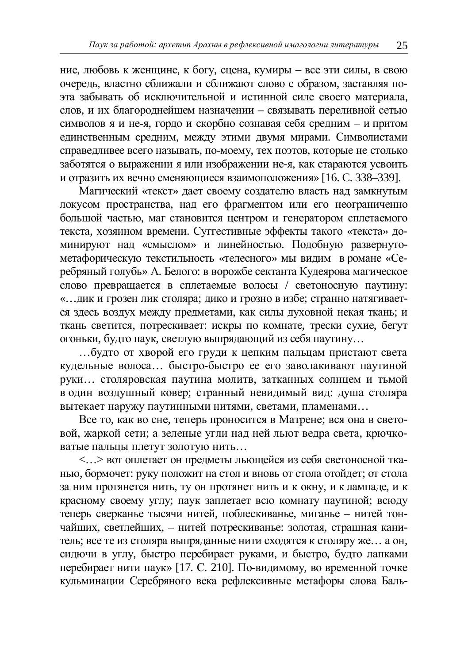ние, любовь к женщине, к богу, сцена, кумиры – все эти силы, в свою очерель, властно сближали и сближают слово с образом, заставляя поэта забывать об исключительной и истинной силе своего материала. слов, и их благороднейшем назначении – связывать переливной сетью символов я и не-я, гордо и скорбно сознавая себя средним – и притом единственным средним, между этими двумя мирами. Символистами справедливее всего называть, по-моему, тех поэтов, которые не столько заботятся о выражении я или изображении не-я, как стараются усвоить и отразить их вечно сменяющиеся взаимоположения» [16. С. 338–339].

ъ<br>Магический «текст» дает своему создателю власть над замкнутым локусом пространства, над его фрагментом или его неограниченно большой частью, маг становится центром и генератором сплетаемого текста, хозяином времени. Суггестивные эффекты такого «текста» доминируют над «смыслом» и линейностью. Подобную развернутометафорическую текстильность «телесного» мы видим в романе «Серебряный голубь» А. Белого: в ворожбе сектанта Кудеярова магическое слово превращается в сплетаемые волосы / светоносную паутину: «... дик и грозен лик столяра; дико и грозно в избе; странно натягивается здесь воздух между предметами, как силы духовной некая ткань; и ткань светится, потрескивает: искры по комнате, трески сухие, бегут огоньки, будто паук, светлую выпрядающий из себя паутину...

... будто от хворой его груди к цепким пальцам пристают света кулельные волоса... быстро-быстро ее его заволакивают паутиной ɪɭɤɢ… ɫɬɨɥɹɪɨɜɫɤɚɹ ɩɚɭɬɢɧɚ ɦɨɥɢɬɜ, ɡɚɬɤɚɧɧɵɯ ɫɨɥɧɰɟɦ ɢ ɬɶɦɨɣ в один воздушный ковер; странный невидимый вид: душа столяра вытекает наружу паутинными нитями, светами, пламенами...

Все то, как во сне, теперь проносится в Матрене; вся она в световой, жаркой сети; а зеленые угли над ней льют ведра света, крючковатые пальцы плетут золотую нить...

<...> вот оплетает он предметы льющейся из себя светоносной тканью, бормочет: руку положит на стол и вновь от стола отойдет; от стола за ним протянется нить, ту он протянет нить и к окну, и к лампаде, и к красному своему углу; паук заплетает всю комнату паутиной; всюду теперь сверканье тысячи нитей, поблескиванье, миганье – нитей тончайших, светлейших, – нитей потрескиванье: золотая, страшная канитель; все те из столяра выпряданные нити сходятся к столяру же... а он, сидючи в углу, быстро перебирает руками, и быстро, будто лапками перебирает нити паук» [17. С. 210]. По-видимому, во временной точке кульминации Серебряного века рефлексивные метафоры слова Баль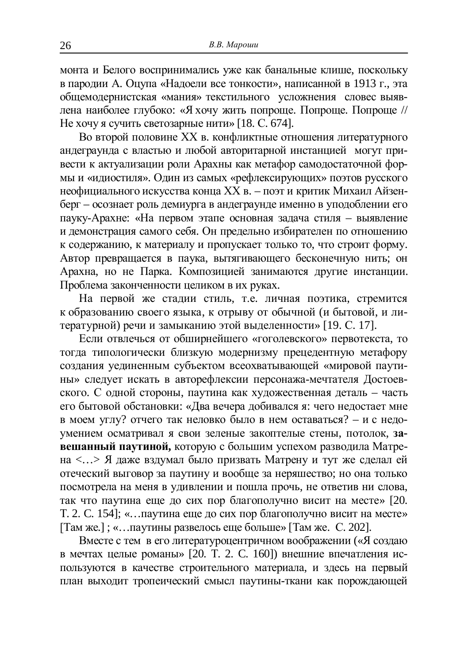монта и Белого воспринимались уже как банальные клише, поскольку в паролии А. Оцупа «Налоели все тонкости», написанной в 1913 г., эта обшемодернистская «мания» текстильного усложнения словес выявлена наиболее глубоко: «Я хочу жить попроще. Попроще. Попроще // Не хочу я сучить светозарные нити» [18. С. 674].

Во второй половине XX в. конфликтные отношения литературного андеграунда с властью и любой авторитарной инстанцией могут привести к актуализации роли Арахны как метафор самодостаточной формы и «идиостиля». Один из самых «рефлексирующих» поэтов русского неофициального искусства конца XX в. – поэт и критик Михаил Айзенберг – осознает роль демиурга в андеграунде именно в уподоблении его пауку-Арахне: «На первом этапе основная залача стиля – выявление и демонстрация самого себя. Он предельно избирателен по отношению к содержанию, к материалу и пропускает только то, что строит форму. Автор превращается в паука, вытягивающего бесконечную нить; он Арахна, но не Парка. Композицией занимаются другие инстанции. Проблема законченности целиком в их руках.

На первой же стадии стиль, т.е. личная поэтика, стремится к образованию своего языка, к отрыву от обычной (и бытовой, и литературной) речи и замыканию этой выделенности» [19. С. 17].

Если отвлечься от обширнейшего «гоголевского» первотекста, то тогда типологически близкую модернизму прецедентную метафору создания уелиненным субъектом всеохватывающей «мировой паутины» следует искать в авторефлексии персонажа-мечтателя Достоевского. С одной стороны, паутина как художественная деталь - часть его бытовой обстановки: «Два вечера добивался я: чего недостает мне в моем углу? отчего так неловко было в нем оставаться? – и с недоумением осматривал я свои зеленые закоптелые стены, потолок, за**евшанный паутиной, которую с большим успехом разводила Матре**на <...> Я даже вздумал было призвать Матрену и тут же сделал ей отеческий выговор за паутину и вообще за неряшество; но она только посмотрела на меня в удивлении и пошла прочь, не ответив ни слова. так что паутина еще до сих пор благополучно висит на месте» [20. Т. 2. С. 154]; «...паутина еще до сих пор благополучно висит на месте» [Там же.]; «…паутины развелось еще больше» [Там же. С. 202].

Вместе с тем в его литературоцентричном воображении («Я создаю в мечтах целые романы» [20. Т. 2. С. 160]) внешние впечатления используются в качестве строительного материала, и здесь на первый план выходит тропеический смысл паутины-ткани как порождающей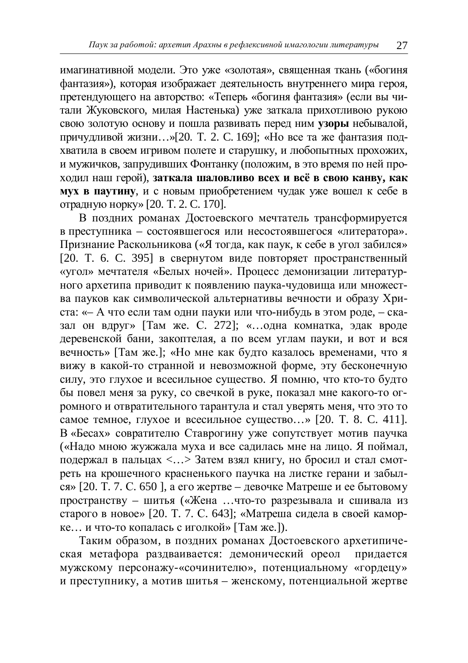имагинативной модели. Это уже «золотая», священная ткань («богиня фантазия»), которая изображает деятельность внутреннего мира героя. претендующего на авторство: «Теперь «богиня фантазия» (если вы читали Жуковского, милая Настенька) уже заткала прихотливою рукою свою золотую основу и пошла развивать перед ним узоры небывалой, причудливой жизни...»[20. Т. 2. С. 169]; «Но все та же фантазия подхватила в своем игривом полете и старушку, и любопытных прохожих, и мужичков, запрудивших Фонтанку (положим, в это время по ней проходил наш герой), заткала шаловливо всех и всё в свою канву, как **мух в паутину**, и с новым приобретением чудак уже вошел к себе в отрадную норку» [20. Т. 2. С. 170].

В поздних романах Достоевского мечтатель трансформируется в преступника – состоявшегося или несостоявшегося «литератора». Признание Раскольникова («Я тогда, как паук, к себе в угол забился»  $[20. T. 6. C. 395]$  в свернутом виде повторяет пространственный с<br>«угол» мечтателя «Белых ночей». Процесс демонизации литературного архетипа приводит к появлению паука-чудовища или множества пауков как символической альтернативы вечности и образу Христа: «– А что если там одни пауки или что-нибудь в этом роде, – сказал он вдруг» [Там же. С. 272]; «…одна комнатка, эдак вроде деревенской бани, закоптелая, а по всем углам пауки, и вот и вся **вечность**» [Там же.]; «Но мне как будто казалось временами, что я вижу в какой-то странной и невозможной форме, эту бесконечную силу, это глухое и всесильное существо. Я помню, что кто-то будто бы повел меня за руку, со свечкой в руке, показал мне какого-то огромного и отвратительного тарантула и стал уверять меня, что это то самое темное, глухое и всесильное существо...» [20. Т. 8. С. 411]. В «Бесах» совратителю Ставрогину уже сопутствует мотив паучка («Надо мною жужжала муха и все садилась мне на лицо. Я поймал, подержал в пальцах <...> Затем взял книгу, но бросил и стал смотреть на крошечного красненького паучка на листке герани и забыл- $\cos \theta$  = 120. T. 7. C. 650 l, a ero жертве – левочке Матреше и ее бытовому пространству – шитья («Жена ...что-то разрезывала и сшивала из старого в новое» [20. Т. 7. С. 643]; «Матреша сидела в своей каморке... и что-то копалась с иголкой» [Там же.]).

Таким образом, в поздних романах Достоевского архетипическая метафора раздваивается: демонический ореол придается мужскому персонажу-«сочинителю», потенциальному «гордецу» и преступнику, а мотив шитья – женскому, потенциальной жертве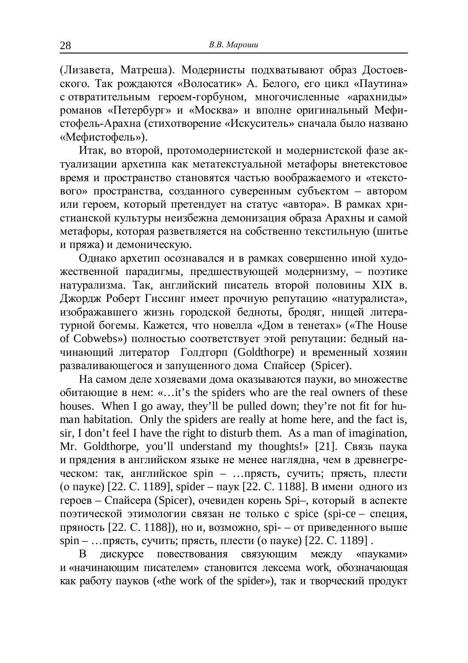(Лизавета, Матреша). Модернисты подхватывают образ Достоевского. Так рождаются «Волосатик» А. Белого, его цикл «Паутина» с отвратительным героем-горбуном, многочисленные «арахнилы» романов «Петербург» и «Москва» и вполне оригинальный Мефи-• стофель-Арахна (стихотворение «Искуситель» сначала было названо «Мефистофель»).

Итак, во второй, протомодернистской и модернистской фазе актуализации архетипа как метатекстуальной метафоры внетекстовое время и пространство становятся частью воображаемого и «тексто- $\overline{B}$ ого» пространства, созданного суверенным субъектом – автором или героем, который претендует на статус «автора». В рамках христианской культуры неизбежна демонизация образа Арахны и самой метафоры, которая разветвляется на собственно текстильную (шитье и пряжа) и демоническую.

Однако архетип осознавался и в рамках совершенно иной художественной парадигмы, предшествующей модернизму, - поэтике натурализма. Так, английский писатель второй половины XIX в. Джордж Роберт Гиссинг имеет прочную репутацию «натуралиста», изображавшего жизнь городской бедноты, бродяг, нищей литературной богемы. Кажется, что новелла «Дом в тенетах» («The House of Cobwebs») полностью соответствует этой репутации: бедный начинающий литератор Голлторп (Goldthorpe) и временный хозяин разваливающегося и запушенного дома Спайсер (Spicer).

На самом леле хозяевами лома оказываются пауки, во множестве обитающие в нем: «...it's the spiders who are the real owners of these houses. When I go away, they'll be pulled down; they're not fit for human habitation. Only the spiders are really at home here, and the fact is, sir, I don't feel I have the right to disturb them. As a man of imagination, Mr. Goldthorpe, you'll understand my thoughts!» [21]. Связь паука и прядения в английском языке не менее наглядна, чем в древнегреческом: так, английское spin – …прясть, сучить; прясть, плести (о пауке) [22. С. 1189], spider – паук [22. С. 1188]. В имени одного из героев – Спайсера (Spicer), очевиден корень Spi–, который в аспекте поэтической этимологии связан не только с spice (spi-ce – специя, пряность [22. С. 1188]), но и, возможно, spi- – от приведенного выше spin – …прясть, сучить; прясть, плести (o пауке) [22. С. 1189].

В дискурсе повествования связующим между «пауками» и «начинающим писателем» становится лексема work, обозначающая как работу пауков («the work of the spider»), так и творческий продукт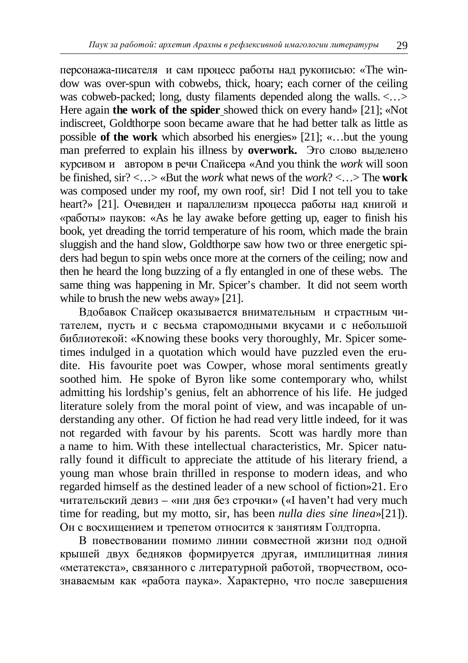персонажа-писателя и сам процесс работы над рукописью: «The window was over-spun with cobwebs, thick, hoary; each corner of the ceiling was cobweb-packed; long, dusty filaments depended along the walls. <...> Here again **the work of the spider** showed thick on every hand» [21]; «Not indiscreet, Goldthorpe soon became aware that he had better talk as little as possible **of the work** which absorbed his energies» [21]; «…but the young man preferred to explain his illness by **overwork.** Это слово выделено ɤɭɪɫɢɜɨɦɢ ɚɜɬɨɪɨɦɜɪɟɱɢɋɩɚɣɫɟɪɚ «And you think the *work* will soon be finished, sir? <…> «But the *work* what news of the *work*? <…> The **work** was composed under my roof, my own roof, sir! Did I not tell you to take heart?» [21]. Очевиден и параллелизм процесса работы над книгой и  $\langle 0 \rangle$   $\langle 0 \rangle$   $\langle 0 \rangle$   $\langle 0 \rangle$  avake before getting up, eager to finish his book, yet dreading the torrid temperature of his room, which made the brain sluggish and the hand slow, Goldthorpe saw how two or three energetic spiders had begun to spin webs once more at the corners of the ceiling; now and then he heard the long buzzing of a fly entangled in one of these webs. The same thing was happening in Mr. Spicer's chamber. It did not seem worth while to brush the new webs away» [21].

Вдобавок Спайсер оказывается внимательным и страстным читателем, пусть и с весьма старомодными вкусами и с небольшой библиотекой: «Knowing these books very thoroughly, Mr. Spicer sometimes indulged in a quotation which would have puzzled even the erudite. His favourite poet was Cowper, whose moral sentiments greatly soothed him. He spoke of Byron like some contemporary who, whilst admitting his lordship's genius, felt an abhorrence of his life. He judged literature solely from the moral point of view, and was incapable of understanding any other. Of fiction he had read very little indeed, for it was not regarded with favour by his parents. Scott was hardly more than a name to him. With these intellectual characteristics, Mr. Spicer naturally found it difficult to appreciate the attitude of his literary friend, a young man whose brain thrilled in response to modern ideas, and who regarded himself as the destined leader of a new school of fiction» $21$ . Ero читательский девиз – «ни дня без строчки» («I haven't had very much time for reading, but my motto, sir, has been *nulla dies sine linea*»[21]). Он с восхищением и трепетом относится к занятиям Голдторпа.

В повествовании помимо линии совместной жизни под одной крышей двух бедняков формируется другая, имплицитная линия «метатекста», связанного с литературной работой, творчеством, осознаваемым как «работа паука». Характерно, что после завершения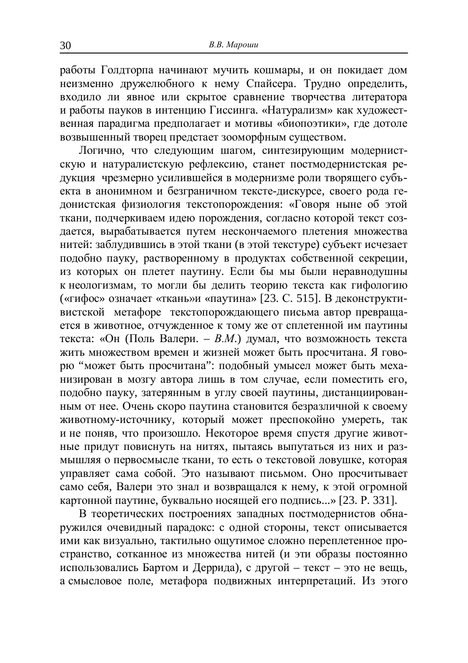работы Голдторпа начинают мучить кошмары, и он покидает дом ъ<br>неизменно дружелюбного к нему Спайсера. Трудно определить. входило ли явное или скрытое сравнение творчества литератора и работы пауков в интенцию Гиссинга. «Натурализм» как художестɜɟɧɧɚɹɩɚɪɚɞɢɝɦɚɩɪɟɞɩɨɥɚɝɚɟɬɢɦɨɬɢɜɵ «ɛɢɨɩɨɷɬɢɤɢ», ɝɞɟɞɨɬɨɥɟ возвышенный творец предстает зооморфным существом.

Логично, что следующим шагом, синтезирующим модернистскую и натуралистскую рефлексию, станет постмодернистская редукция чрезмерно усилившейся в модернизме роли творящего субъекта в анонимном и безграничном тексте-дискурсе, своего рода гедонистская физиология текстопорождения: «Говоря ныне об этой ткани, подчеркиваем идею порождения, согласно которой текст создается, вырабатывается путем нескончаемого плетения множества нитей: заблудившись в этой ткани (в этой текстуре) субъект исчезает подобно пауку, растворенному в продуктах собственной секреции, из которых он плетет паутину. Если бы мы были неравнодушны к неологизмам, то могли бы делить теорию текста как гифологию («гифос» означает «ткань» и «паутина» [23. С. 515]. В деконструктивистской метафоре текстопорождающего письма автор превращается в животное, отчужденное к тому же от сплетенной им паутины текста: «Он (Поль Валери. – *В.М.*) думал, что возможность текста жить множеством времен и жизней может быть просчитана. Я говорю "может быть просчитана": подобный умысел может быть меха- $\overline{h}$  изирован в мозгу автора лишь в том случае, если поместить его. подобно пауку, затерянным в углу своей паутины, дистанциированным от нее. Очень скоро паутина становится безразличной к своему ЖИВОТНОМУ-ИСТОЧНИКУ, КОТОРЫЙ МОЖЕТ ПРЕСПОКОЙНО УМЕРЕТЬ, ТАК и не поняв, что произошло. Некоторое время спустя другие животные придут повиснуть на нитях, пытаясь выпутаться из них и размышляя о первосмысле ткани, то есть о текстовой ловушке, которая управляет сама собой. Это называют письмом. Оно просчитывает  $\overline{\text{ch}}$ амо себя. Валери это знал и возврашался к нему, к этой огромной картонной паутине, буквально носящей его подпись...» [23. Р. 331].

В теоретических построениях западных постмодернистов обнаружился очевидный парадокс: с одной стороны, текст описывается ими как визуально, тактильно ощутимое сложно переплетенное пространство, сотканное из множества нитей (и эти образы постоянно использовались Бартом и Деррида), с другой – текст – это не вещь, а смысловое поле, метафора подвижных интерпретаций. Из этого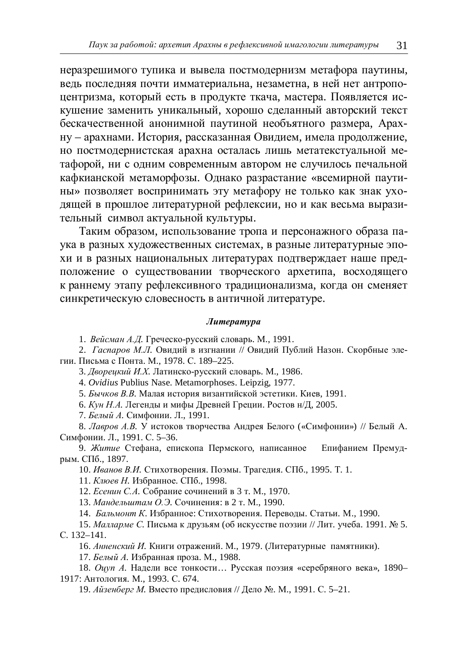неразрешимого тупика и вывела постмодернизм метафора паутины, вель послелняя почти имматериальна, незаметна, в ней нет антропоиентризма, который есть в продукте ткача, мастера. Появляется искушение заменить уникальный, хорошо слеланный авторский текст бескачественной анонимной паутиной необъятного размера. Арахну – арахнами. История, рассказанная Овидием, имела продолжение, но постмодернистская арахна осталась лишь метатекстуальной метафорой, ни с одним современным автором не случилось печальной кафкианской метаморфозы. Однако разрастание «всемирной паутины» позволяет воспринимать эту метафору не только как знак уходящей в прошлое литературной рефлексии, но и как весьма выразительный символ актуальной культуры.

Таким образом, использование тропа и персонажного образа паука в разных художественных системах, в разные литературные эпохи и в разных национальных литературах подтверждает наше предположение о существовании творческого архетипа, восходящего к раннему этапу рефлексивного традиционализма, когда он сменяет синкретическую словесность в античной литературе.

#### $J$ *umepamypa*

1. Вейсман А.Д. Греческо-русский словарь. М., 1991.

2. *Гаспаров М.Л.* Овидий в изгнании // Овидий Публий Назон. Скорбные элегии. Письма с Понта. М., 1978. С. 189-225.

3. Дворецкий И.Х. Латинско-русский словарь. М., 1986.

4. *Ovidius* Publius Nase. Metamorphoses. Leipzig, 1977.

5. *Бычков В.В.* Малая история византийской эстетики. Киев, 1991.

6. *Кун Н.А.* Легенды и мифы Древней Греции. Ростов н/Д, 2005.

7. *Белый А.* Симфонии. Л., 1991.

8. *Лавров А.В.* У истоков творчества Андрея Белого («Симфонии») // Белый А. Симфонии. Л., 1991. С. 5–36.

9. Житие Стефана, епископа Пермского, написанное Епифанием Премудрым. СПб., 1897.

10. *Иванов В.И.* Стихотворения. Поэмы. Трагелия. СПб., 1995. Т. 1.

11. *Клюев Н.* Избранное. СПб., 1998.

12. *Есенин С.А.* Собрание сочинений в 3 т. М., 1970.

13. Мандельштам О.Э. Сочинения: в 2 т. М., 1990.

14. *Бальмонт К*. Избранное: Стихотворения. Переводы. Статьи. М., 1990.

15. Малларме С. Письма к друзьям (об искусстве поэзии // Лит. учеба. 1991. № 5. C. 132-141.

16. Анненский И. Книги отражений. М., 1979. (Литературные памятники).

17. *Белый А.* Избранная проза. М., 1988.

18. Оцуп А. Надели все тонкости... Русская поэзия «серебряного века», 1890-1917: Антология. М., 1993. С. 674.

19. Айзенберг М. Вместо предисловия // Дело №. М., 1991. С. 5–21.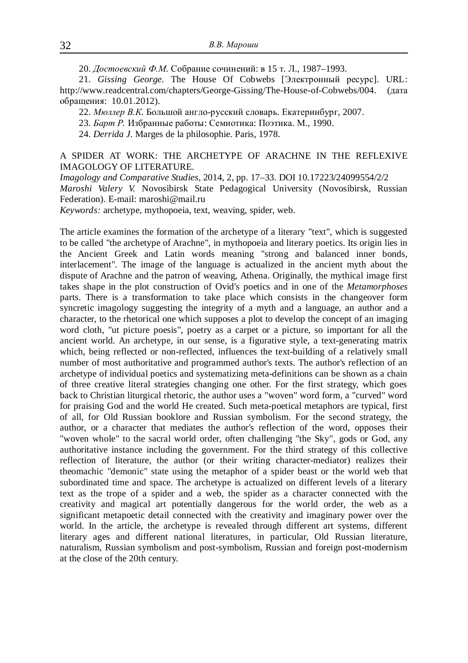20. Достоевский Ф.М. Собрание сочинений: в 15 т. Л., 1987-1993.

21. *Gissing George*. The House Of Cobwebs [Электронный ресурс]. URL: <http://www.readcentral.com/chapters/George-Gissing/The-House-of-Cobwebs/004.>(дата обращения: 10.01.2012).

22. *Мюллер В.К.* Большой англо-русский словарь. Екатеринбург, 2007.

23. *Барт Р.* Избранные работы: Семиотика: Поэтика. М., 1990.

24. *Derrida J.* Marges de la philosophie. Paris, 1978.

### A SPIDER AT WORK: THE ARCHETYPE OF ARACHNE IN THE REFLEXIVE IMAGOLOGY OF LITERATURE.

*Imagology and Comparative Studies*, 2014, 2, pp. 17–33. DOI 10.17223/24099554/2/2 *Maroshi Valery V.* Novosibirsk State Pedagogical University (Novosibirsk, Russian Federation). E-mail: [maroshi@mail.ru](mailto:maroshi:@mail.ru)

*Keywords:* archetype, mythopoeia, text, weaving, spider, web.

The article examines the formation of the archetype of a literary "text", which is suggested to be called "the archetype of Arachne", in mythopoeia and literary poetics. Its origin lies in the Ancient Greek and Latin words meaning "strong and balanced inner bonds, interlacement". The image of the language is actualized in the ancient myth about the dispute of Arachne and the patron of weaving, Athena. Originally, the mythical image first takes shape in the plot construction of Ovid's poetics and in one of the *Metamorphoses* parts. There is a transformation to take place which consists in the changeover form syncretic imagology suggesting the integrity of a myth and a language, an author and a character, to the rhetorical one which supposes a plot to develop the concept of an imaging word cloth, "ut picture poesis", poetry as a carpet or a picture, so important for all the ancient world. An archetype, in our sense, is a figurative style, a text-generating matrix which, being reflected or non-reflected, influences the text-building of a relatively small number of most authoritative and programmed author's texts. The author's reflection of an archetype of individual poetics and systematizing meta-definitions can be shown as a chain of three creative literal strategies changing one other. For the first strategy, which goes back to Christian liturgical rhetoric, the author uses a "woven" word form, a "curved" word for praising God and the world He created. Such meta-poetical metaphors are typical, first of all, for Old Russian booklore and Russian symbolism. For the second strategy, the author, or a character that mediates the author's reflection of the word, opposes their "woven whole" to the sacral world order, often challenging "the Sky", gods or God, any authoritative instance including the government. For the third strategy of this collective reflection of literature, the author (or their writing character-mediator) realizes their theomachic "demonic" state using the metaphor of a spider beast or the world web that subordinated time and space. The archetype is actualized on different levels of a literary text as the trope of a spider and a web, the spider as a character connected with the creativity and magical art potentially dangerous for the world order, the web as a significant metapoetic detail connected with the creativity and imaginary power over the world. In the article, the archetype is revealed through different art systems, different literary ages and different national literatures, in particular, Old Russian literature, naturalism, Russian symbolism and post-symbolism, Russian and foreign post-modernism at the close of the 20th century.